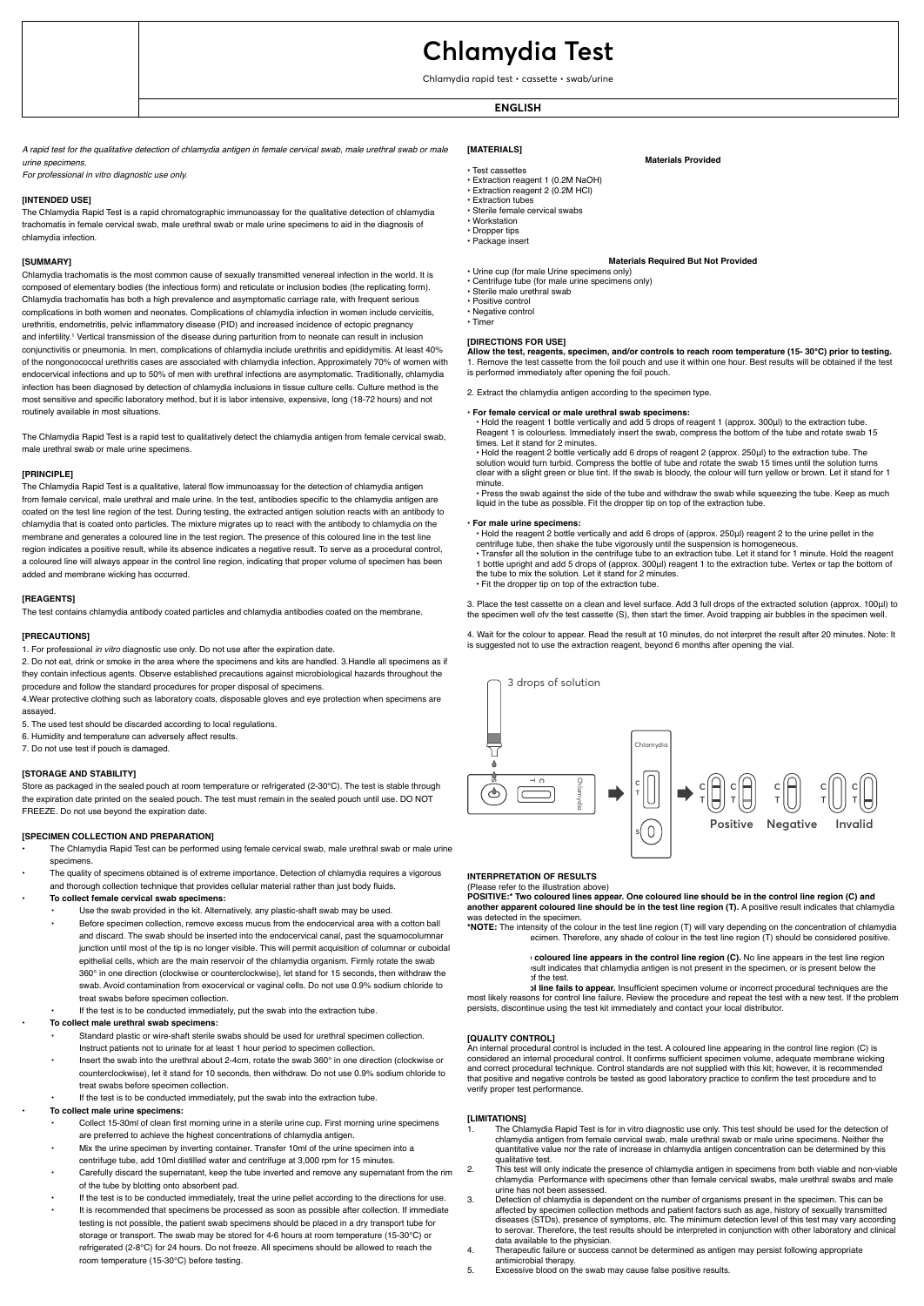# **Chlamydia Test**

Chlamydia rapid test • cassette • swab/urine

# **ENGLISH**

*A rapid test for the qualitative detection of chlamydia antigen in female cervical swab, male urethral swab or male urine specimens.*

*For professional in vitro diagnostic use only.*

### **[INTENDED USE]**

The Chlamydia Rapid Test is a rapid chromatographic immunoassay for the qualitative detection of chlamydia trachomatis in female cervical swab, male urethral swab or male urine specimens to aid in the diagnosis of chlamydia infection.

#### **[SUMMARY]**

Chlamydia trachomatis is the most common cause of sexually transmitted venereal infection in the world. It is composed of elementary bodies (the infectious form) and reticulate or inclusion bodies (the replicating form). Chlamydia trachomatis has both a high prevalence and asymptomatic carriage rate, with frequent serious complications in both women and neonates. Complications of chlamydia infection in women include cervicitis, urethritis, endometritis, pelvic inflammatory disease (PID) and increased incidence of ectopic pregnancy and infertility.<sup>1</sup> Vertical transmission of the disease during parturition from to neonate can result in inclusion conjunctivitis or pneumonia. In men, complications of chlamydia include urethritis and epididymitis. At least 40% of the nongonococcal urethritis cases are associated with chlamydia infection. Approximately 70% of women with endocervical infections and up to 50% of men with urethral infections are asymptomatic. Traditionally, chlamydia infection has been diagnosed by detection of chlamydia inclusions in tissue culture cells. Culture method is the most sensitive and specific laboratory method, but it is labor intensive, expensive, long (18-72 hours) and not routinely available in most situations.

The Chlamydia Rapid Test is a rapid test to qualitatively detect the chlamydia antigen from female cervical swab, male urethral swab or male urine specimens.

#### **[PRINCIPLE]**

The Chlamydia Rapid Test is a qualitative, lateral flow immunoassay for the detection of chlamydia antigen from female cervical, male urethral and male urine. In the test, antibodies specific to the chlamydia antigen are coated on the test line region of the test. During testing, the extracted antigen solution reacts with an antibody to chlamydia that is coated onto particles. The mixture migrates up to react with the antibody to chlamydia on the membrane and generates a coloured line in the test region. The presence of this coloured line in the test line region indicates a positive result, while its absence indicates a negative result. To serve as a procedural control, a coloured line will always appear in the control line region, indicating that proper volume of specimen has been added and membrane wicking has occurred.

## **[REAGENTS]**

The test contains chlamydia antibody coated particles and chlamydia antibodies coated on the membrane.

#### **[PRECAUTIONS]**

1. For professional *in vitro* diagnostic use only. Do not use after the expiration date.

2. Do not eat, drink or smoke in the area where the specimens and kits are handled. 3.Handle all specimens as if they contain infectious agents. Observe established precautions against microbiological hazards throughout the procedure and follow the standard procedures for proper disposal of specimens.

4.Wear protective clothing such as laboratory coats, disposable gloves and eye protection when specimens are assayed.

- 5. The used test should be discarded according to local regulations.
- 6. Humidity and temperature can adversely affect results.

7. Do not use test if pouch is damaged.

#### **[STORAGE AND STABILITY]**

Store as packaged in the sealed pouch at room temperature or refrigerated (2-30°C). The test is stable through the expiration date printed on the sealed pouch. The test must remain in the sealed pouch until use. DO NOT FREEZE. Do not use beyond the expiration date.

#### **[SPECIMEN COLLECTION AND PREPARATION]**

- The Chlamydia Rapid Test can be performed using female cervical swab, male urethral swab or male urine specimens.
- The quality of specimens obtained is of extreme importance. Detection of chlamydia requires a vigorous and thorough collection technique that provides cellular material rather than just body fluids.

#### **• To collect female cervical swab specimens:**

- Use the swab provided in the kit. Alternatively, any plastic-shaft swab may be used. • Before specimen collection, remove excess mucus from the endocervical area with a cotton ball
	- and discard. The swab should be inserted into the endocervical canal, past the squamocolumnar junction until most of the tip is no longer visible. This will permit acquisition of columnar or cuboidal epithelial cells, which are the main reservoir of the chlamydia organism. Firmly rotate the swab 360° in one direction (clockwise or counterclockwise), let stand for 15 seconds, then withdraw the swab. Avoid contamination from exocervical or vaginal cells. Do not use 0.9% sodium chloride to treat swabs before specimen collection.
- If the test is to be conducted immediately, put the swab into the extraction tube.

# **• To collect male urethral swab specimens:**

- Standard plastic or wire-shaft sterile swabs should be used for urethral specimen collection. Instruct patients not to urinate for at least 1 hour period to specimen collection.
- Insert the swab into the urethral about 2-4cm, rotate the swab 360° in one direction (clockwise or counterclockwise), let it stand for 10 seconds, then withdraw. Do not use 0.9% sodium chloride to treat swabs before specimen collection.
- If the test is to be conducted immediately, put the swab into the extraction tube.

room temperature (15-30°C) before testing.

# **• To collect male urine specimens:**

- Collect 15-30ml of clean first morning urine in a sterile urine cup. First morning urine specimens are preferred to achieve the highest concentrations of chlamydia antigen.
- Mix the urine specimen by inverting container. Transfer 10ml of the urine specimen into a centrifuge tube, add 10ml distilled water and centrifuge at 3,000 rpm for 15 minutes.
- Carefully discard the supernatant, keep the tube inverted and remove any supernatant from the rim of the tube by blotting onto absorbent pad.
- If the test is to be conducted immediately, treat the urine pellet according to the directions for use.
- It is recommended that specimens be processed as soon as possible after collection. If immediate testing is not possible, the patient swab specimens should be placed in a dry transport tube for storage or transport. The swab may be stored for 4-6 hours at room temperature (15-30°C) or refrigerated (2-8°C) for 24 hours. Do not freeze. All specimens should be allowed to reach the

# **[MATERIALS]**

- Test cassettes
- Extraction reagent 1 (0.2M NaOH) Extraction reagent 2 (0.2M HCl)
- Extraction tubes • Sterile female cervical swabs
- Workstation
- Dropper tips
- Package insert

### **Materials Required But Not Provided**

**Materials Provided**

- Urine cup (for male Urine specimens only) Centrifuge tube (for male urine specimens only) Sterile male urethral swab
- 
- Positive control
- Negative control
- Timer

### **[DIRECTIONS FOR USE]**

**Allow the test, reagents, specimen, and/or controls to reach room temperature (15- 30°C) prior to testing.** 1. Remove the test cassette from the foil pouch and use it within one hour. Best results will be obtained if the test is performed immediately after opening the foil pouch.

2. Extract the chlamydia antigen according to the specimen type.

### **• For female cervical or male urethral swab specimens:**

• Hold the reagent 1 bottle vertically and add 5 drops of reagent 1 (approx. 300μl) to the extraction tube. Reagent 1 is colourless. Immediately insert the swab, compress the bottom of the tube and rotate swab 15 times. Let it stand for 2 minutes.

• Hold the reagent 2 bottle vertically add 6 drops of reagent 2 (approx. 250μl) to the extraction tube. The solution would turn turbid. Compress the bottle of tube and rotate the swab 15 times until the solution turns clear with a slight green or blue tint. If the swab is bloody, the colour will turn yellow or brown. Let it stand for 1

minute. • Press the swab against the side of the tube and withdraw the swab while squeezing the tube. Keep as much liquid in the tube as possible. Fit the dropper tip on top of the extraction tube.

#### **• For male urine specimens:**

• Hold the reagent 2 bottle vertically and add 6 drops of (approx. 250µl) reagent 2 to the urine pellet in the<br>centrifuge tube, then shake the tube vigorously until the suspension is homogeneous.<br>• Transfer all the solutio 1 bottle upright and add 5 drops of (approx. 300μl) reagent 1 to the extraction tube. Vertex or tap the bottom of the tube to mix the solution. Let it stand for 2 minutes. • Fit the dropper tip on top of the extraction tube.

3. Place the test cassette on a clean and level surface. Add 3 full drops of the extracted solution (approx. 100µl) to<br>the specimen well ofv the test cassette (S), then start the timer. Avoid trapping air bubbles in the sp

4. Wait for the colour to appear. Read the result at 10 minutes, do not interpret the result after 20 minutes. Note: It is suggested not to use the extraction reagent, beyond 6 months after opening the vial.



#### **INTERPRETATION OF RESULTS**

(Please refer to the illustration above) **POSITIVE:\* Two coloured lines appear. One coloured line should be in the control line region (C) and another apparent coloured line should be in the test line region (T).** A positive result indicates that chlamydia

was detected in the specimen. **\*NOTE:** The intensity of the colour in the test line region (T) will vary depending on the concentration of chlamydia ecimen. Therefore, any shade of colour in the test line region (T) should be considered positive.

> coloured line appears in the control line region (C). No line appears in the test line region sult indicates that chlamydia antigen is not present in the specimen, or is present below the detectable the test.

**I** line fails to appear. Insufficient specimen volume or incorrect procedural techniques are the most likely reasons for control line failure. Review the procedure and repeat the test with a new test. If the problem persists, discontinue using the test kit immediately and contact your local distributor.

**[QUALITY CONTROL]** An internal procedural control is included in the test. A coloured line appearing in the control line region (C) is considered an internal procedural control. It confirms sufficient specimen volume, adequate membrane wicking and correct procedural technique. Control standards are not supplied with this kit; however, it is recommended that positive and negative controls be tested as good laboratory practice to confirm the test procedure and to verify proper test performance.

### **[LIMITATIONS]**

- 1. The Chlamydia Rapid Test is for in vitro diagnostic use only. This test should be used for the detection of<br>1. chlamydia antigen from female cervical swab, male urethral swab or male urine specimens. Neither the<br>4. quan
- qualitative test.<br>2. This test will only indicate the presence of chlamydia antigen in specimens from both viable and non-viable<br>chlamydia Performance with specimens other than female cervical swabs, male urethral urine has not been assessed.
- 3. Detection of chlamydia is dependent on the number of organisms present in the specimen. This can be affected by specimen collection methods and patient factors such as age, history of sexually transmitted diseases (STDs), presence of symptoms, etc. The minimum detection level of this test may vary according to serovar. Therefore, the test results should be interpreted in conjunction with other laboratory and clinical data available to the physician.
- Therapeutic failure or success cannot be determined as antigen may persist following appropriate
- antimicrobial therapy. 5. Excessive blood on the swab may cause false positive results.